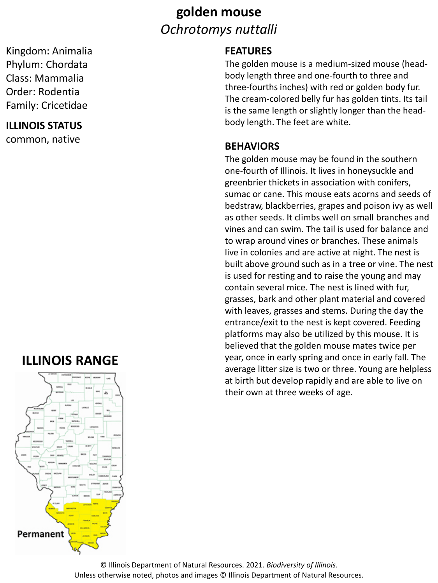## **golden mouse** *Ochrotomys nuttalli*

Kingdom: Animalia Phylum: Chordata Class: Mammalia Order: Rodentia Family: Cricetidae

#### **ILLINOIS STATUS**

common, native

## **ILLINOIS RANGE**



### **FEATURES**

The golden mouse is a medium-sized mouse (headbody length three and one-fourth to three and three-fourths inches) with red or golden body fur. The cream-colored belly fur has golden tints. Its tail is the same length or slightly longer than the headbody length. The feet are white.

#### **BEHAVIORS**

The golden mouse may be found in the southern one-fourth of Illinois. It lives in honeysuckle and greenbrier thickets in association with conifers, sumac or cane. This mouse eats acorns and seeds of bedstraw, blackberries, grapes and poison ivy as well as other seeds. It climbs well on small branches and vines and can swim. The tail is used for balance and to wrap around vines or branches. These animals live in colonies and are active at night. The nest is built above ground such as in a tree or vine. The nest is used for resting and to raise the young and may contain several mice. The nest is lined with fur, grasses, bark and other plant material and covered with leaves, grasses and stems. During the day the entrance/exit to the nest is kept covered. Feeding platforms may also be utilized by this mouse. It is believed that the golden mouse mates twice per year, once in early spring and once in early fall. The average litter size is two or three. Young are helpless at birth but develop rapidly and are able to live on their own at three weeks of age.

© Illinois Department of Natural Resources. 2021. *Biodiversity of Illinois*. Unless otherwise noted, photos and images © Illinois Department of Natural Resources.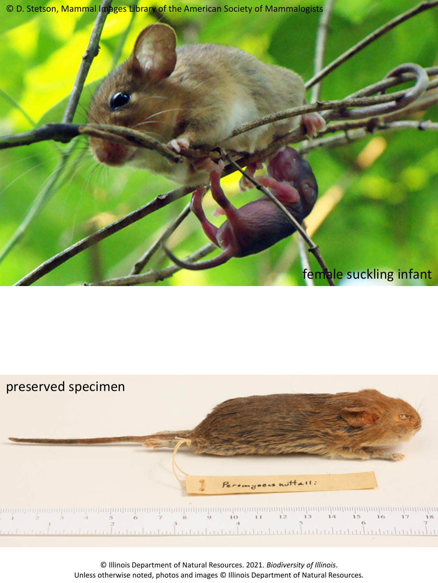© D. Stetson, Mammal Images Library of the American Society of Mammalogists

## female suckling infant



© Illinois Department of Natural Resources. 2021. *Biodiversity of Illinois*. Unless otherwise noted, photos and images © Illinois Department of Natural Resources.